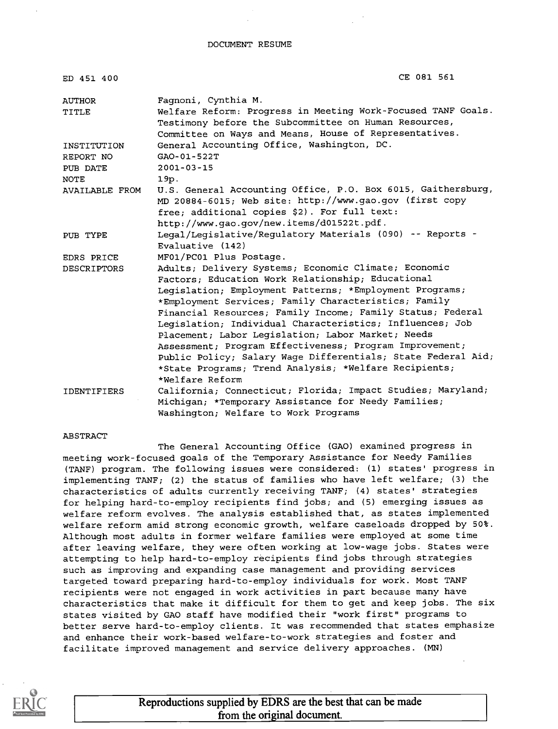| ED 451 400         | CE 081 561                                                   |
|--------------------|--------------------------------------------------------------|
| AUTHOR             | Faqnoni, Cynthia M.                                          |
| TITLE              | Welfare Reform: Progress in Meeting Work-Focused TANF Goals. |
|                    | Testimony before the Subcommittee on Human Resources,        |
|                    | Committee on Ways and Means, House of Representatives.       |
| INSTITUTION        | General Accounting Office, Washington, DC.                   |
| REPORT NO          | GAO-01-522T                                                  |
| PUB DATE           | $2001 - 03 - 15$                                             |
| <b>NOTE</b>        | 19p.                                                         |
| AVAILABLE FROM     | U.S. General Accounting Office, P.O. Box 6015, Gaithersburg, |
|                    | MD 20884-6015; Web site: http://www.gao.gov (first copy      |
|                    | free; additional copies \$2). For full text:                 |
|                    | http://www.gao.gov/new.items/d01522t.pdf.                    |
| PUB TYPE           | Legal/Legislative/Regulatory Materials (090) -- Reports -    |
|                    | Evaluative (142)                                             |
| EDRS PRICE         | MF01/PC01 Plus Postage.                                      |
| <b>DESCRIPTORS</b> | Adults; Delivery Systems; Economic Climate; Economic         |
|                    | Factors; Education Work Relationship; Educational            |
|                    | Legislation; Employment Patterns; *Employment Programs;      |
|                    | *Employment Services; Family Characteristics; Family         |
|                    | Financial Resources; Family Income; Family Status; Federal   |
|                    | Leqislation; Individual Characteristics; Influences; Job     |
|                    | Placement; Labor Legislation; Labor Market; Needs            |
|                    | Assessment; Program Effectiveness; Program Improvement;      |
|                    | Public Policy; Salary Wage Differentials; State Federal Aid; |
|                    | *State Programs; Trend Analysis; *Welfare Recipients;        |
|                    | *Welfare Reform                                              |
| <b>IDENTIFIERS</b> | California; Connecticut; Florida; Impact Studies; Maryland;  |
|                    | Michigan; *Temporary Assistance for Needy Families;          |
|                    | Washington; Welfare to Work Programs                         |

#### ABSTRACT

The General Accounting Office (GAO) examined progress in meeting work-focused goals of the Temporary Assistance for Needy Families (TANF) program. The following issues were considered: (1) states' progress in implementing TANF; (2) the status of families who have left welfare; (3) the characteristics of adults currently receiving TANF; (4) states' strategies for helping hard-to-employ recipients find jobs; and (5) emerging issues as welfare reform evolves. The analysis established that, as states implemented welfare reform amid strong economic growth, welfare caseloads dropped by 50%. Although most adults in former welfare families were employed at some time after leaving welfare, they were often working at low-wage jobs. States were attempting to help hard-to-employ recipients find jobs through strategies such as improving and expanding case management and providing services targeted toward preparing hard-to-employ individuals for work. Most TANF recipients were not engaged in work activities in part because many have characteristics that make it difficult for them to get and keep jobs. The six states visited by GAO staff have modified their "work first" programs to better serve hard-to-employ clients. It was recommended that states emphasize and enhance their work-based welfare-to-work strategies and foster and facilitate improved management and service delivery approaches. (MN)



Reproductions supplied by EDRS are the best that can be made from the original document.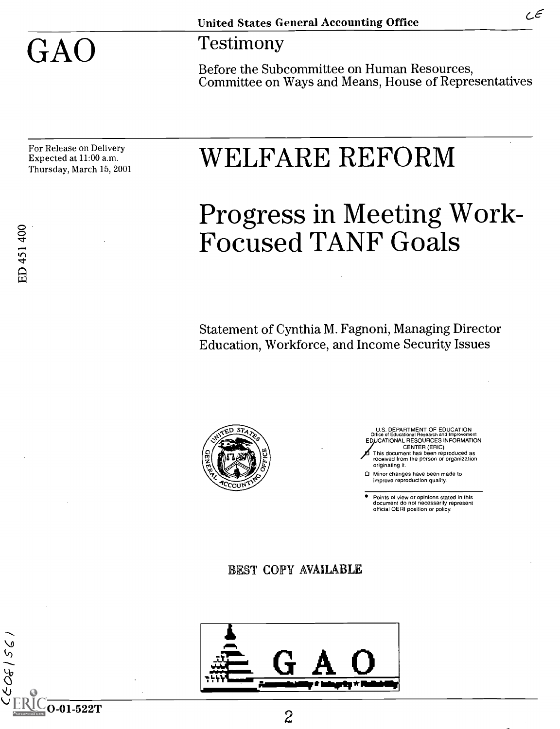GAO Testimony

Before the Subcommittee on Human Resources, Committee on Ways and Means, House of Representatives

For Release on Delivery Expected at 11:00 a.m.

# $\rm \frac{For\,Release\ on\ Delivery}{Enursled at\ 11:00\ a.m.} \quad \rm \quad WELFARE\ REFORM$

# Progress in Meeting Work-Focused TANF Goals

Statement of Cynthia M. Fagnoni, Managing Director Education, Workforce, and Income Security Issues



 $\sim$  0-01-522T 2

U.S. DEPARTMENT OF EDUCATION Office of Educational Research and Improvement EDUCATIONAL RESOURCES INFORMATION CENTER (ERIC) This document has been reproduced as received from the person or organization originating it.

Minor changes have been made to improve reproduction quality.

Points of view or opinions stated in this document do not necessarily represent official OERI position or policy.

BEST COPY AVAILABLE



 $55/56$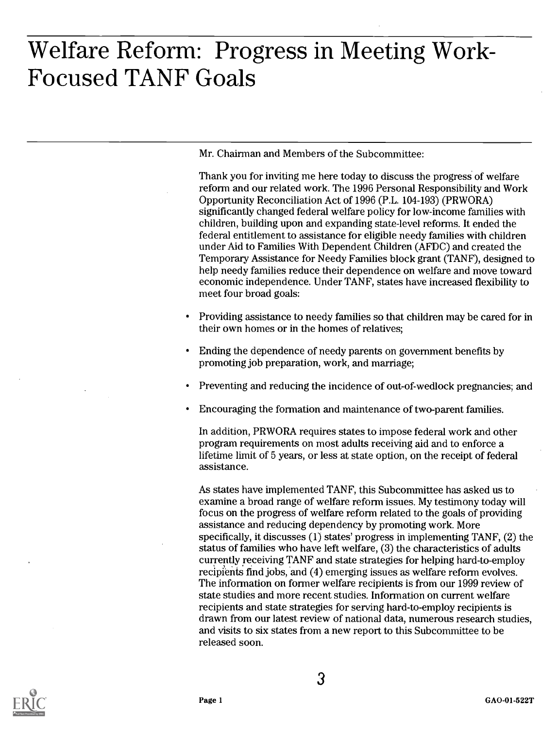# Welfare Reform: Progress in Meeting Work-Focused TANF Goals

Mr. Chairman and Members of the Subcommittee:

Thank you for inviting me here today to discuss the progress of welfare reform and our related work. The 1996 Personal Responsibility and Work Opportunity Reconciliation Act of 1996 (P.L. 104-193) (PRWORA) significantly changed federal welfare policy for low-income families with children, building upon and expanding state-level reforms. It ended the federal entitlement to assistance for eligible needy families with children under Aid to Families With Dependent Children (AFDC) and created the Temporary Assistance for Needy Families block grant (TANF), designed to help needy families reduce their dependence on welfare and move toward economic independence. Under TANF, states have increased flexibility to meet four broad goals:

- Providing assistance to needy families so that children may be cared for in their own homes or in the homes of relatives;
- Ending the dependence of needy parents on government benefits by promoting job preparation, work, and marriage;
- Preventing and reducing the incidence of out-of-wedlock pregnancies; and
- Encouraging the formation and maintenance of two-parent families.

In addition, PRWORA requires states to impose federal work and other program requirements on most adults receiving aid and to enforce a lifetime limit of 5 years, or less at state option, on the receipt of federal assistance.

As states have implemented TANF, this Subcommittee has asked us to examine a broad range of welfare reform issues. My testimony today will focus on the progress of welfare reform related to the goals of providing assistance and reducing dependency by promoting work. More specifically, it discusses (1) states' progress in implementing TANF, (2) the status of families who have left welfare, (3) the characteristics of adults currently receiving TANF and state strategies for helping hard-to-employ recipients find jobs, and (4) emerging issues as welfare reform evolves. The information on former welfare recipients is from our 1999 review of state studies and more recent studies. Information on current welfare recipients and state strategies for serving hard-to-employ recipients is drawn from our latest review of national data, numerous research studies, and visits to six states from a new report to this Subcommittee to be released soon.

3



Page 1 GAO-01-522T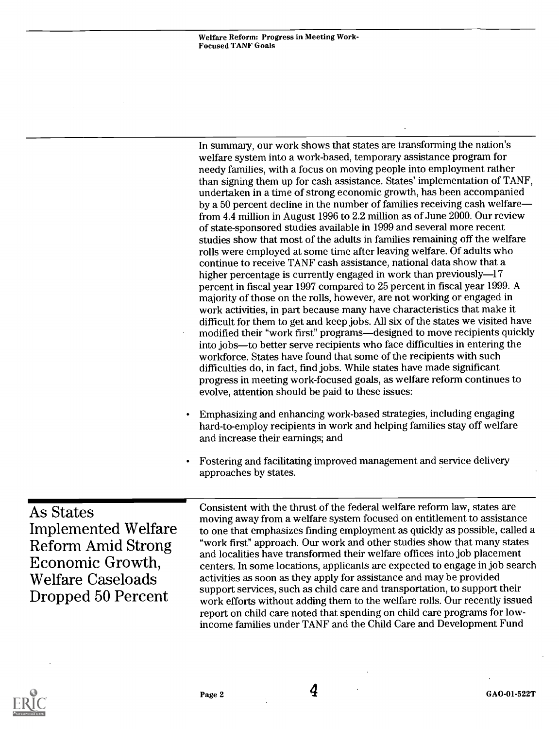In summary, our work shows that states are transforming the nation's welfare system into a work-based, temporary assistance program for needy families, with a focus on moving people into employment rather than signing them up for cash assistance. States' implementation of TANF, undertaken in a time of strong economic growth, has been accompanied by a 50 percent decline in the number of families receiving cash welfare from 4.4 million in August 1996 to 2.2 million as of June 2000. Our review of state-sponsored studies available in 1999 and several more recent studies show that most of the adults in families remaining off the welfare rolls were employed at some time after leaving welfare. Of adults who continue to receive TANF cash assistance, national data show that a higher percentage is currently engaged in work than previously-17 percent in fiscal year 1997 compared to 25 percent in fiscal year 1999. A majority of those on the rolls, however, are not working or engaged in work activities, in part because many have characteristics that make it difficult for them to get and keep jobs. All six of the states we visited have modified their "work first" programs—designed to move recipients quickly into jobs—to better serve recipients who face difficulties in entering the workforce. States have found that some of the recipients with such difficulties do, in fact, find jobs. While states have made significant progress in meeting work-focused goals, as welfare reform continues to evolve, attention should be paid to these issues:

- Emphasizing and enhancing work-based strategies, including engaging hard-to-employ recipients in work and helping families stay off welfare and increase their earnings; and
- Fostering and facilitating improved management and service delivery approaches by states.

As States Implemented Welfare Reform Amid Strong Economic Growth, Welfare Caseloads Dropped 50 Percent

Consistent with the thrust of the federal welfare reform law, states are moving away from a welfare system focused on entitlement to assistance to one that emphasizes finding employment as quickly as possible, called a "work first" approach. Our work and other studies show that many states and localities have transformed their welfare offices into job placement centers. In some locations, applicants are expected to engage in job search activities as soon as they apply for assistance and may be provided support services, such as child care and transportation, to support their work efforts without adding them to the welfare rolls. Our recently issued report on child care noted that spending on child care programs for lowincome families under TANF and the Child Care and Development Fund

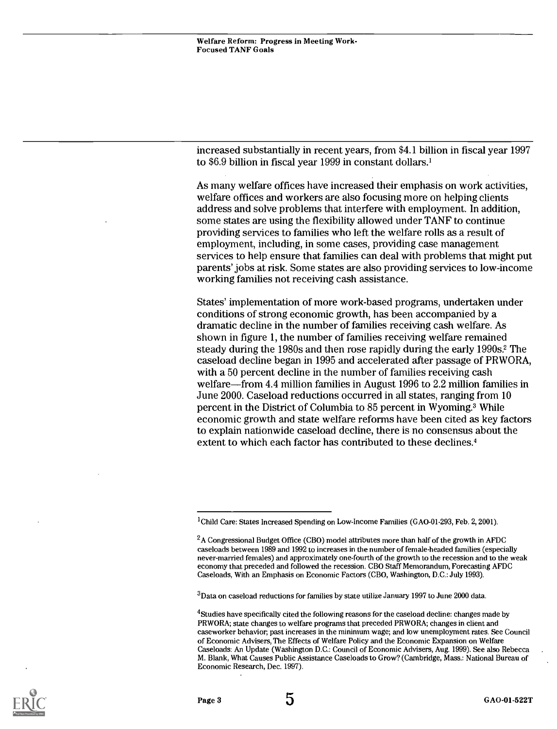increased substantially in recent years, from \$4.1 billion in fiscal year 1997 to \$6.9 billion in fiscal year 1999 in constant dollars.'

As many welfare offices have increased their emphasis on work activities, welfare offices and workers are also focusing more on helping clients address and solve problems that interfere with employment. In addition, some states are using the flexibility allowed under TANF to continue providing services to families who left the welfare rolls as a result of employment, including, in some cases, providing case management services to help ensure that families can deal with problems that might put parents' jobs at risk. Some states are also providing services to low-income working families not receiving cash assistance.

States' implementation of more work-based programs, undertaken under conditions of strong economic growth, has been accompanied by a dramatic decline in the number of families receiving cash welfare. As shown in figure 1, the number of families receiving welfare remained steady during the 1980s and then rose rapidly during the early 1990s.2 The caseload decline began in 1995 and accelerated after passage of PRWORA, with a 50 percent decline in the number of families receiving cash welfare—from 4.4 million families in August 1996 to  $2.2$  million families in June 2000. Caseload reductions occurred in all states, ranging from 10 percent in the District of Columbia to 85 percent in Wyoming.3 While economic growth and state welfare reforms have been cited as key factors to explain nationwide caseload decline, there is no consensus about the extent to which each factor has contributed to these declines.4

 $3$ Data on caseload reductions for families by state utilize January 1997 to June 2000 data.



<sup>&</sup>lt;sup>1</sup>Child Care: States Increased Spending on Low-Income Families (GAO-01-293, Feb. 2, 2001).

 $^{2}$ A Congressional Budget Office (CBO) model attributes more than half of the growth in AFDC caseloads between 1989 and 1992 to increases in the number of female-headed families (especially never-married females) and approximately one-fourth of the growth to the recession and to the weak economy that preceded and followed the recession. CBO Staff Memorandum, Forecasting AFDC Caseloads, With an Emphasis on Economic Factors (CBO, Washington, D.C.: July 1993).

<sup>&</sup>lt;sup>4</sup>Studies have specifically cited the following reasons for the caseload decline: changes made by PRWORA; state changes to welfare programs that preceded PRWORA; changes in client and caseworker behavior, past increases in the minimum wage; and low unemployment rates. See Council of Economic Advisers, The Effects of Welfare Policy and the Economic Expansion on Welfare Caseloads: An Update (Washington D.C.: Council of Economic Advisers, Aug. 1999). See also Rebecca M. Blank, What Causes Public Assistance Caseloads to Grow? (Cambridge, Mass.: National Bureau of Economic Research, Dec. 1997).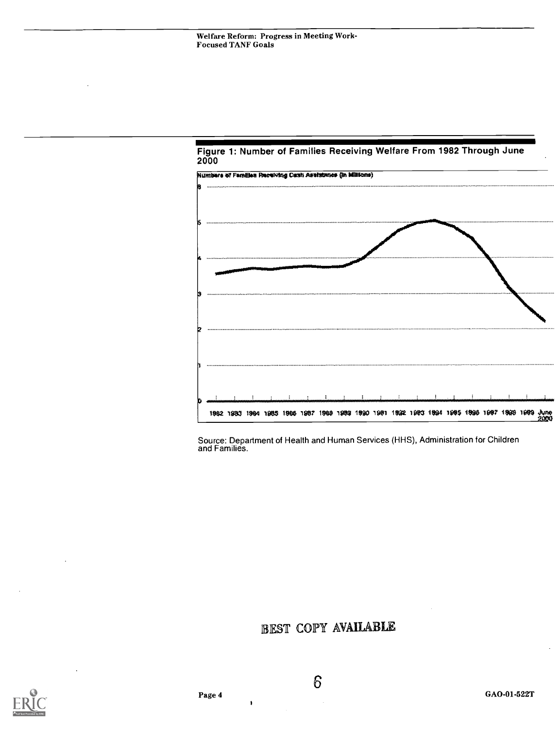

#### Figure 1: Number of Families Receiving Welfare From 1982 Through June 2000

Source: Department of Health and Human Services (HHS), Administration for Children and Families.

### EST COPY AVAIIABLE



6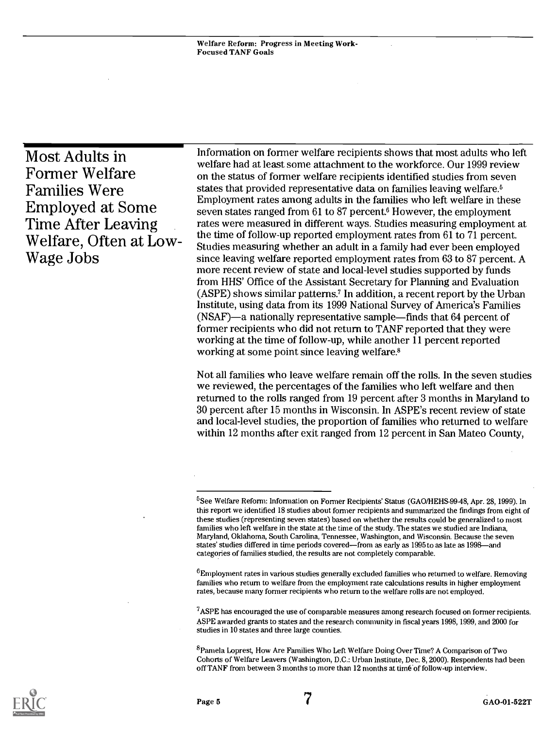Most Adults in Former Welfare Families Were Employed at Some Time After Leaving Welfare, Often at Low-Wage Jobs

Information on former welfare recipients shows that most adults who left welfare had at least some attachment to the workforce. Our 1999 review on the status of former welfare recipients identified studies from seven states that provided representative data on families leaving welfare.<sup>5</sup> Employment rates among adults in the families who left welfare in these seven states ranged from 61 to 87 percent.<sup>6</sup> However, the employment rates were measured in different ways. Studies measuring employment at the time of follow-up reported employment rates from 61 to 71 percent. Studies measuring whether an adult in a family had ever been employed since leaving welfare reported employment rates from 63 to 87 percent. A more recent review of state and local-level studies supported by funds from HHS' Office of the Assistant Secretary for Planning and Evaluation (ASPE) shows similar patterns? In addition, a recent report by the Urban Institute, using data from its 1999 National Survey of America's Families  $(NSAF)$ —a nationally representative sample—finds that 64 percent of former recipients who did not return to TANF reported that they were working at the time of follow-up, while another 11 percent reported working at some point since leaving welfare.8

Not all families who leave welfare remain off the rolls. In the seven studies we reviewed, the percentages of the families who left welfare and then returned to the rolls ranged from 19 percent after 3 months in Maryland to 30 percent after 15 months in Wisconsin. In ASPE's recent review of state and local-level studies, the proportion of families who returned to welfare within 12 months after exit ranged from 12 percent in San Mateo County,

 ${}^{6}$ Employment rates in various studies generally excluded families who returned to welfare. Removing families who return to welfare from the employment rate calculations results in higher employment rates, because many former recipients who return to the welfare rolls are not employed.

 $7A$ SPE has encouraged the use of comparable measures among research focused on former recipients. ASPE awarded grants to states and the research community in fiscal years 1998, 1999, and 2000 for studies in 10 states and three large counties.

°Pamela Loprest, How Are Families Who Left Welfare Doing Over Time? A Comparison of Two Cohorts of Welfare Leavers (Washington, D.C.: Urban Institute, Dec. 8, 2000). Respondents had been off TANF from between 3 months to more than 12 months at time-of follow-up interview.



<sup>&</sup>lt;sup>5</sup>See Welfare Reform: Information on Former Recipients' Status (GAO/HEHS-99-48, Apr. 28, 1999). In this report we identified 18 studies about former recipients and summarized the findings from eight of these studies (representing seven states) based on whether the results could be generalized to most families who left welfare in the state at the time of the study. The states we studied are Indiana, Maryland, Oklahoma, South Carolina, Tennessee, Washington, and Wisconsin. Because the seven states' studies differed in time periods covered—from as early as  $1995$  to as late as  $1998$ —and categories of families studied, the results are not completely comparable.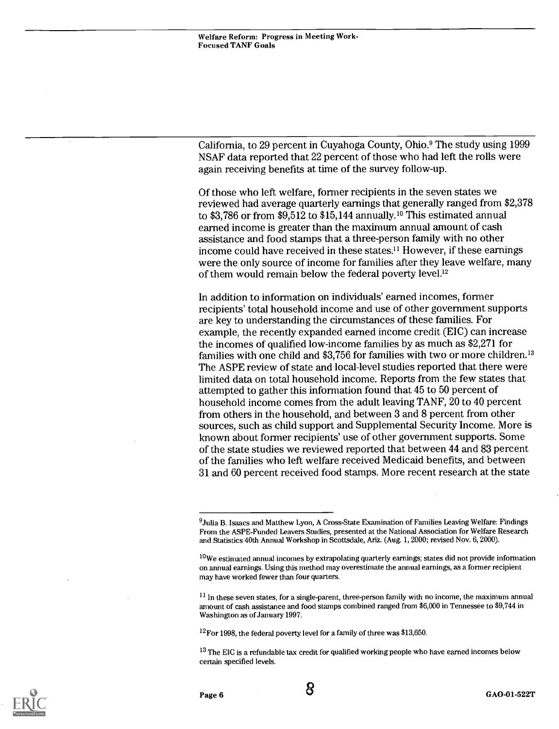California, to 29 percent in Cuyahoga County, Ohio.° The study using 1999 NSAF data reported that 22 percent of those who had left the rolls were again receiving benefits at time of the survey follow-up.

Of those who left welfare, former recipients in the seven states we reviewed had average quarterly earnings that generally ranged from \$2,378 to \$3,786 or from  $$9.512$  to \$15,144 annually.<sup>10</sup> This estimated annual earned income is greater than the maximum annual amount of cash assistance and food stamps that a three-person family with no other income could have received in these states.<sup>11</sup> However, if these earnings were the only source of income for families after they leave welfare, many of them would remain below the federal poverty level.<sup>12</sup>

In addition to information on individuals' earned incomes, former recipients' total household income and use of other government supports are key to understanding the circumstances of these families. For example, the recently expanded earned income credit (EIC) can increase the incomes of qualified low-income families by as much as \$2,271 for families with one child and \$3,756 for families with two or more children.<sup>13</sup> The ASPE review of state and local-level studies reported that there were limited data on total household income. Reports from the few states that attempted to gather this information found that 45 to 50 percent of household income comes from the adult leaving TANF, 20 to 40 percent from others in the household, and between 3 and 8 percent from other sources, such as child support and Supplemental Security Income. More is known about former recipients' use of other government supports. Some of the state studies we reviewed reported that between 44 and 83 percent of the families who left welfare received Medicaid benefits, and between 31 and 60 percent received food stamps. More recent research at the state

 $12$  For 1998, the federal poverty level for a family of three was \$13,650.

<sup>13</sup> The EIC is a refundable tax credit for qualified working people who have earned incomes below certain specified levels.





<sup>°</sup>Julia B. Isaacs and Matthew Lyon, A Cross-State Examination of Families Leaving Welfare: Findings From the ASPE-Funded Leavers Studies, presented at the National Association for Welfare Research and Statistics 40th Annual Workshop in Scottsdale, Ariz. (Aug. 1, 2000; revised Nov. 6, 2000).

<sup>&</sup>lt;sup>10</sup>We estimated annual incomes by extrapolating quarterly earnings; states did not provide information on annual earnings. Using this method may overestimate the annual earnings, as a former recipient may have worked fewer than four quarters.

<sup>&</sup>lt;sup>11</sup> In these seven states, for a single-parent, three-person family with no income, the maximum annual amount of cash assistance and food stamps combined ranged from \$6,000 in Tennessee to \$9,744 in Washington as of January 1997.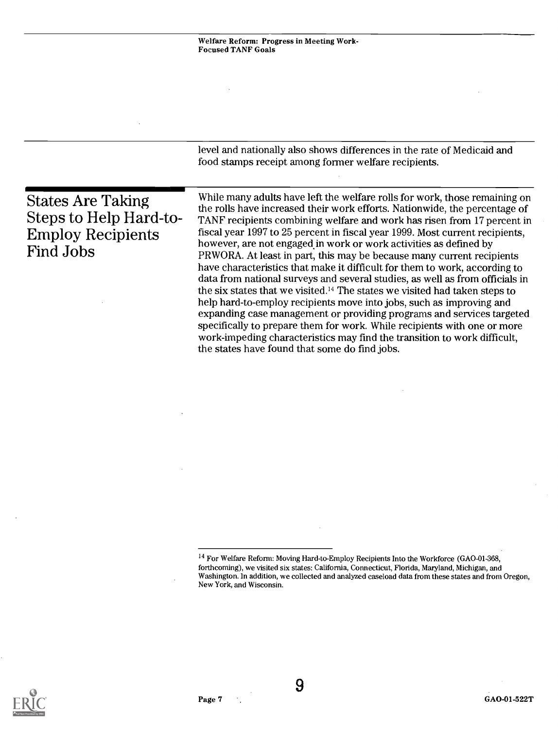<sup>&</sup>lt;sup>14</sup> For Welfare Reform: Moving Hard-to-Employ Recipients Into the Workforce (GAO-01-368, forthcoming), we visited six states: California, Connecticut, Florida, Maryland, Michigan, and Washington. In addition, we collected and analyzed caseload data from these states and from Oregon, New York, and Wisconsin.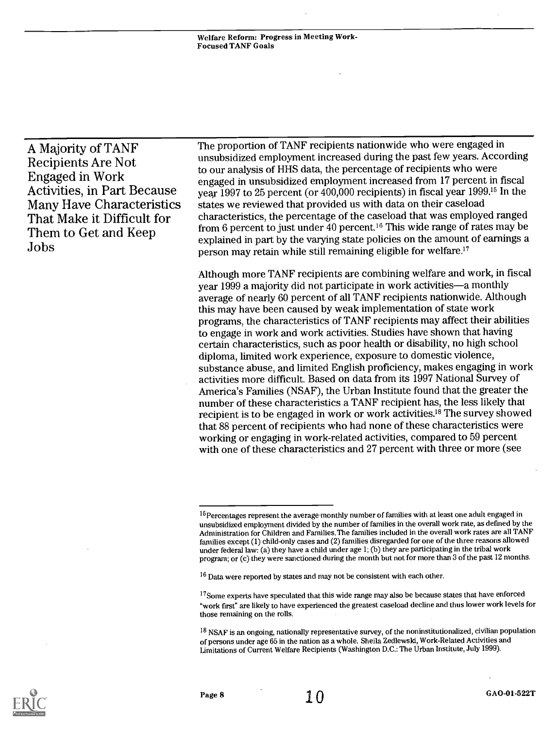Welfare Reform: Progress in Meeting Work-Focused TANF Goals

A Majority of TANF Recipients Are Not Engaged in Work Activities, in Part Because Many Have Characteristics That Make it Difficult for Them to Get and Keep Jobs

The proportion of TANF recipients nationwide who were engaged in unsubsidized employment increased during the past few years. According to our analysis of HHS data, the percentage of recipients who were engaged in unsubsidized employment increased from 17 percent in fiscal year 1997 to 25 percent (or 400,000 recipients) in fiscal year 1999.15 In the states we reviewed that provided us with data on their caseload characteristics, the percentage of the caseload that was employed ranged from 6 percent to just under 40 percent.16 This wide range of rates may be explained in part by the varying state policies on the amount of earnings a person may retain while still remaining eligible for welfare.<sup>17</sup>

Although more TANF recipients are combining welfare and work, in fiscal year 1999 a majority did not participate in work activities—a monthly average of nearly 60 percent of all TANF recipients nationwide. Although this may have been caused by weak implementation of state work programs, the characteristics of TANF recipients may affect their abilities to engage in work and work activities. Studies have shown that having certain characteristics, such as poor health or disability, no high school diploma, limited work experience, exposure to domestic violence, substance abuse, and limited English proficiency, makes engaging in work activities more difficult. Based on data from its 1997 National Survey of America's Families (NSAF), the Urban Institute found that the greater the number of these characteristics a TANF recipient has, the less likely that recipient is to be engaged in work or work activities.'8 The survey showed that 88 percent of recipients who had none of these characteristics were working or engaging in work-related activities, compared to 59 percent with one of these characteristics and 27 percent with three or more (see



<sup>&</sup>lt;sup>15</sup>Percentages represent the average monthly number of families with at least one adult engaged in unsubsidized employment divided by the number of families in the overall work rate, as defined by the Administration for Children and Families. The families included in the overall work rates are all TANF families except (1) child-only cases and (2) families disregarded for one of the three reasons allowed under federal law: (a) they have a child under age 1; (b) they are participating in the tribal work program; or (c) they were sanctioned during the month but not for more than 3 of the past 12 months.

<sup>&</sup>lt;sup>16</sup> Data were reported by states and may not be consistent with each other.

<sup>&</sup>lt;sup>17</sup>Some experts have speculated that this wide range may also be because states that have enforced "work first" are likely to have experienced the greatest caseload decline and thus lower work levels for those remaining on the rolls.

<sup>&</sup>lt;sup>18</sup> NSAF is an ongoing, nationally representative survey, of the noninstitutionalized, civilian population of persons under age 65 in the nation as a whole. Sheila Zedlewski, Work-Related Activities and Limitations of Current Welfare Recipients (Washington D.C.: The Urban Institute, July 1999).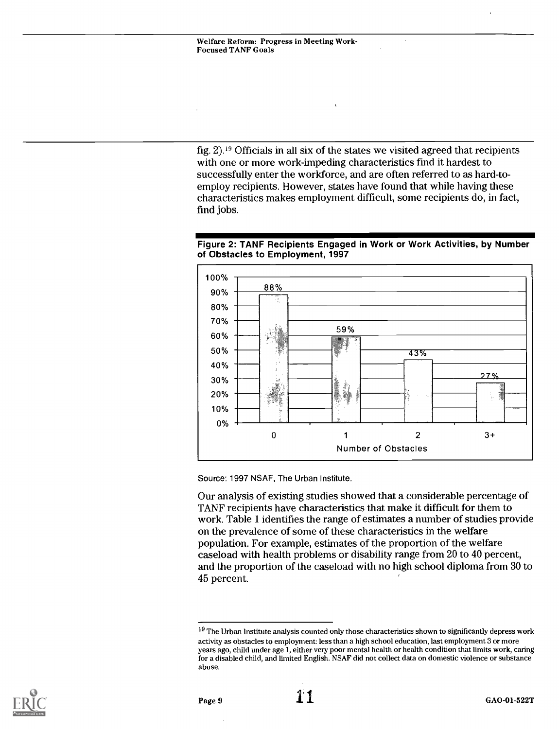fig. 2).'9 Officials in all six of the states we visited agreed that recipients with one or more work-impeding characteristics find it hardest to successfully enter the workforce, and are often referred to as hard-toemploy recipients. However, states have found that while having these characteristics makes employment difficult, some recipients do, in fact, find jobs.

#### Figure 2: TANF Recipients Engaged in Work or Work Activities, by Number of Obstacles to Employment, 1997



Source: 1997 NSAF, The Urban Institute.

Our analysis of existing studies showed that a considerable percentage of TANF recipients have characteristics that make it difficult for them to work. Table 1 identifies the range of estimates a number of studies provide on the prevalence of some of these characteristics in the welfare population. For example, estimates of the proportion of the welfare caseload with health problems or disability range from 20 to 40 percent, and the proportion of the caseload with no high school diploma from 30 to 45 percent.



 $19$  The Urban Institute analysis counted only those characteristics shown to significantly depress work activity as obstacles to employment: less than a high school education, last employment 3 or more years ago, child under age 1, either very poor mental health or health condition that limits work, caring for a disabled child, and limited English. NSAF did not collect data on domestic violence or substance abuse.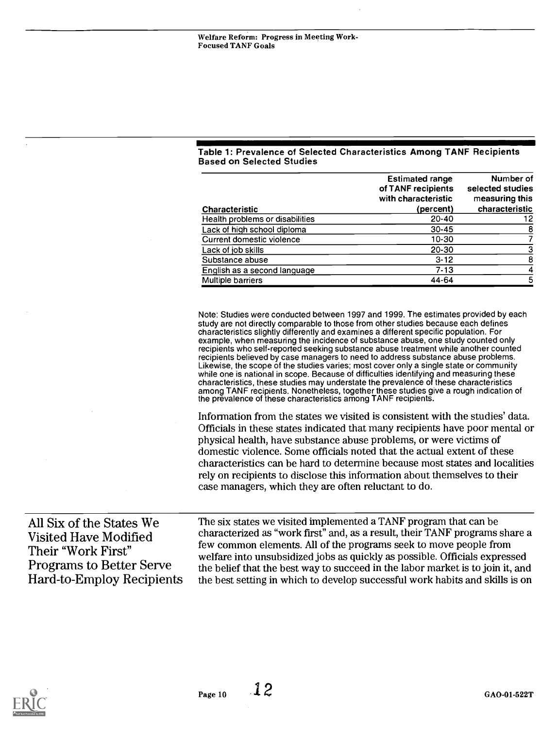### Table 1: Prevalence of Selected Characteristics Among TANF Recipients Based on Selected Studies

|                                 | <b>Estimated range</b><br>of TANF recipients<br>with characteristic | Number of<br>selected studies<br>measuring this |
|---------------------------------|---------------------------------------------------------------------|-------------------------------------------------|
| <b>Characteristic</b>           | (percent)                                                           | characteristic                                  |
| Health problems or disabilities | $20 - 40$                                                           | 12                                              |
| Lack of high school diploma     | $30 - 45$                                                           | 8                                               |
| Current domestic violence       | 10-30                                                               |                                                 |
| Lack of job skills              | 20-30                                                               |                                                 |
| Substance abuse                 | $3 - 12$                                                            | 8                                               |
| English as a second language    | $7-13$                                                              |                                                 |
| <b>Multiple barriers</b>        | 44-64                                                               | 5                                               |

Note: Studies were conducted between 1997 and 1999. The estimates provided by each study are not directly comparable to those from other studies because each defines characteristics slightly differently and examines a different specific population. For example, when measuring the incidence of substance abuse, one study counted only recipients who self-reported seeking substance abuse treatment while another counted recipients believed by case managers to need to address substance abuse problems. Likewise, the scope of the studies varies; most cover only a single state or community while one is national in scope. Because of difficulties identifying and measuring these characteristics, these studies may understate the prevalence of these characteristics among TANF recipients. Nonetheless, together these studies give a rough indication of the prevalence of these characteristics among TANF recipients.

Information from the states we visited is consistent with the studies' data. Officials in these states indicated that many recipients have poor mental or physical health, have substance abuse problems, or were victims of domestic violence. Some officials noted that the actual extent of these characteristics can be hard to determine because most states and localities rely on recipients to disclose this information about themselves to their case managers, which they are often reluctant to do.

All Six of the States We Visited Have Modified Their "Work First" Programs to Better Serve Hard-to-Employ Recipients The six states we visited implemented a TANF program that can be characterized as "work first" and, as a result, their TANF programs share a few common elements. All of the programs seek to move people from welfare into unsubsidized jobs as quickly as possible. Officials expressed the belief that the best way to succeed in the labor market is to join it, and the best setting in which to develop successful work habits and skills is on

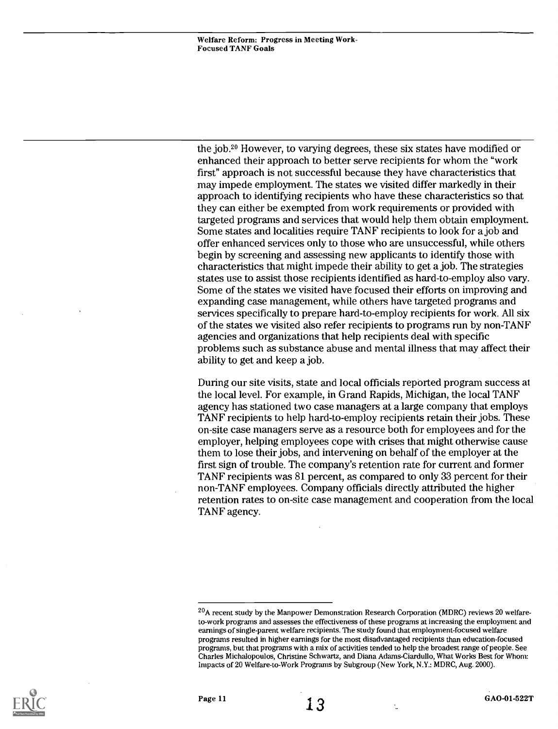the job.<sup>20</sup> However, to varying degrees, these six states have modified or enhanced their approach to better serve recipients for whom the "work first" approach is not successful because they have characteristics that may impede employment. The states we visited differ markedly in their approach to identifying recipients who have these characteristics so that they can either be exempted from work requirements or provided with targeted programs and services that would help them obtain employment. Some states and localities require TANF recipients to look for a job and offer enhanced services only to those who are unsuccessful, while others begin by screening and assessing new applicants to identify those with characteristics that might impede their ability to get a job. The strategies states use to assist those recipients identified as hard-to-employ also vary. Some of the states we visited have focused their efforts on improving and expanding case management, while others have targeted programs and services specifically to prepare hard-to-employ recipients for work. All six of the states we visited also refer recipients to programs run by non-TANF agencies and organizations that help recipients deal with specific problems such as substance abuse and mental illness that may affect their ability to get and keep a job.

During our site visits, state and local officials reported program success at the local level. For example, in Grand Rapids, Michigan, the local TANF agency has stationed two case managers at a large company that employs TANF recipients to help hard-to-employ recipients retain their jobs. These on-site case managers serve as a resource both for employees and for the employer, helping employees cope with crises that might otherwise cause them to lose their jobs, and intervening on behalf of the employer at the first sign of trouble. The company's retention rate for current and former TANF recipients was 81 percent, as compared to only 33 percent for their non-TANF employees. Company officials directly attributed the higher retention rates to on-site case management and cooperation from the local TANF agency.



<sup>&</sup>lt;sup>20</sup>A recent study by the Manpower Demonstration Research Corporation (MDRC) reviews 20 welfareto-work programs and assesses the effectiveness of these programs at increasing the employment and earnings of single-parent welfare recipients. The study found that employment-focused welfare programs resulted in higher earnings for the most disadvantaged recipients than education-focused programs, but that programs with a mix of activities tended to help the broadest range of people. See Charles Michalopoulos, Christine Schwartz, and Diana Adams-Ciardullo, What Works Best for Whom: Impacts of 20 Welfare-to-Work Programs by Subgroup (New York, N.Y.: MDRC, Aug. 2000).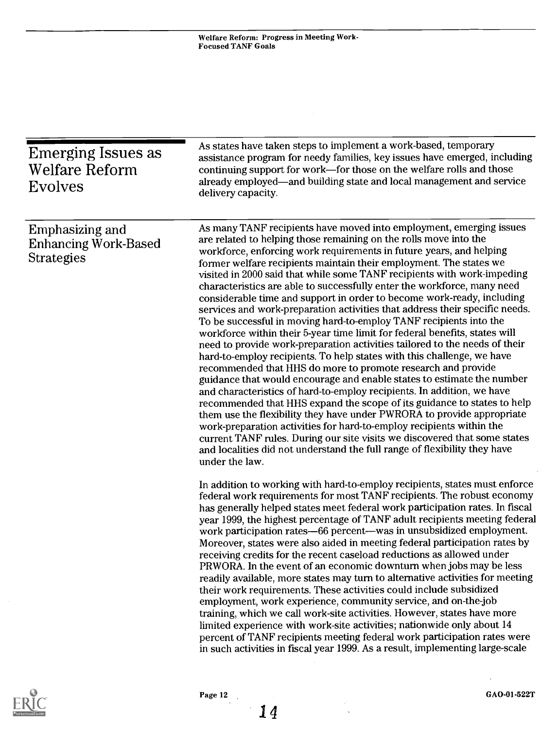| <b>Emerging Issues as</b><br><b>Welfare Reform</b><br><b>Evolves</b> | As states have taken steps to implement a work-based, temporary<br>assistance program for needy families, key issues have emerged, including<br>continuing support for work-for those on the welfare rolls and those<br>already employed—and building state and local management and service<br>delivery capacity.                                                                                                                                                                                                                                                                                                                                                                                                                                                                                                                                                                                                                                                                                                                                                                                                                                                                                                                                                                                                                                                                                                                                                                                                                                                                                                                                                                                                                                                                                                                                                                                                                                                                                                                                                                                                                                                                                                                                                                                                                                                                                                                                                                                                                                                                                                                                                                                                 |
|----------------------------------------------------------------------|--------------------------------------------------------------------------------------------------------------------------------------------------------------------------------------------------------------------------------------------------------------------------------------------------------------------------------------------------------------------------------------------------------------------------------------------------------------------------------------------------------------------------------------------------------------------------------------------------------------------------------------------------------------------------------------------------------------------------------------------------------------------------------------------------------------------------------------------------------------------------------------------------------------------------------------------------------------------------------------------------------------------------------------------------------------------------------------------------------------------------------------------------------------------------------------------------------------------------------------------------------------------------------------------------------------------------------------------------------------------------------------------------------------------------------------------------------------------------------------------------------------------------------------------------------------------------------------------------------------------------------------------------------------------------------------------------------------------------------------------------------------------------------------------------------------------------------------------------------------------------------------------------------------------------------------------------------------------------------------------------------------------------------------------------------------------------------------------------------------------------------------------------------------------------------------------------------------------------------------------------------------------------------------------------------------------------------------------------------------------------------------------------------------------------------------------------------------------------------------------------------------------------------------------------------------------------------------------------------------------------------------------------------------------------------------------------------------------|
| Emphasizing and<br><b>Enhancing Work-Based</b><br><b>Strategies</b>  | As many TANF recipients have moved into employment, emerging issues<br>are related to helping those remaining on the rolls move into the<br>workforce, enforcing work requirements in future years, and helping<br>former welfare recipients maintain their employment. The states we<br>visited in 2000 said that while some TANF recipients with work-impeding<br>characteristics are able to successfully enter the workforce, many need<br>considerable time and support in order to become work-ready, including<br>services and work-preparation activities that address their specific needs.<br>To be successful in moving hard-to-employ TANF recipients into the<br>workforce within their 5-year time limit for federal benefits, states will<br>need to provide work-preparation activities tailored to the needs of their<br>hard-to-employ recipients. To help states with this challenge, we have<br>recommended that HHS do more to promote research and provide<br>guidance that would encourage and enable states to estimate the number<br>and characteristics of hard-to-employ recipients. In addition, we have<br>recommended that HHS expand the scope of its guidance to states to help<br>them use the flexibility they have under PWRORA to provide appropriate<br>work-preparation activities for hard-to-employ recipients within the<br>current TANF rules. During our site visits we discovered that some states<br>and localities did not understand the full range of flexibility they have<br>under the law.<br>In addition to working with hard-to-employ recipients, states must enforce<br>federal work requirements for most TANF recipients. The robust economy<br>has generally helped states meet federal work participation rates. In fiscal<br>year 1999, the highest percentage of TANF adult recipients meeting federal<br>work participation rates-66 percent-was in unsubsidized employment.<br>Moreover, states were also aided in meeting federal participation rates by<br>receiving credits for the recent caseload reductions as allowed under<br>PRWORA. In the event of an economic downturn when jobs may be less<br>readily available, more states may turn to alternative activities for meeting<br>their work requirements. These activities could include subsidized<br>employment, work experience, community service, and on-the-job<br>training, which we call work-site activities. However, states have more<br>limited experience with work-site activities; nationwide only about 14<br>percent of TANF recipients meeting federal work participation rates were<br>in such activities in fiscal year 1999. As a result, implementing large-scale |



14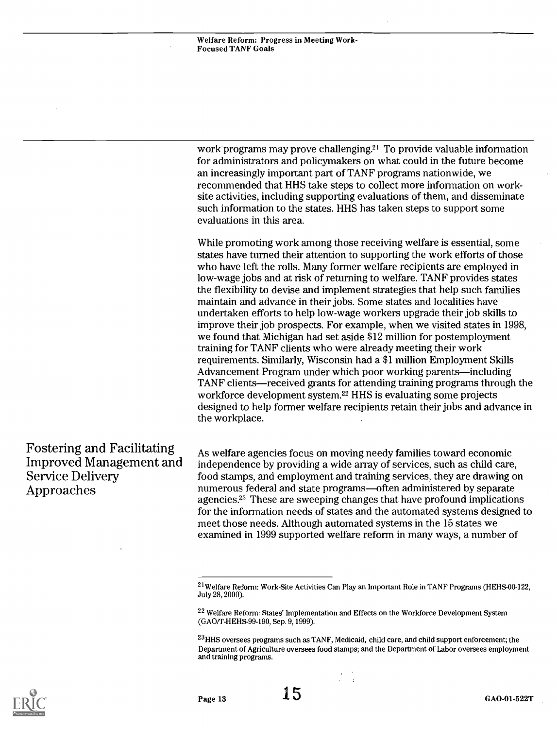work programs may prove challenging.<sup>21</sup> To provide valuable information for administrators and policymakers on what could in the future become an increasingly important part of TANF programs nationwide, we recommended that HHS take steps to collect more information on worksite activities, including supporting evaluations of them, and disseminate such information to the states. HHS has taken steps to support some evaluations in this area.

While promoting work among those receiving welfare is essential, some states have turned their attention to supporting the work efforts of those who have left the rolls. Many former welfare recipients are employed in low-wage jobs and at risk of returning to welfare. TANF provides states the flexibility to devise and implement strategies that help such families maintain and advance in their jobs. Some states and localities have undertaken efforts to help low-wage workers upgrade their job skills to improve their job prospects. For example, when we visited states in 1998, we found that Michigan had set aside \$12 million for postemployment training for TANF clients who were already meeting their work requirements. Similarly, Wisconsin had a \$1 million Employment Skills Advancement Program under which poor working parents—including TANF clients—received grants for attending training programs through the workforce development system.22 HHS is evaluating some projects designed to help former welfare recipients retain their jobs and advance in the workplace.

#### Fostering and Facilitating Improved Management and Service Delivery Approaches

As welfare agencies focus on moving needy families toward economic independence by providing a wide array of services, such as child care, food stamps, and employment and training services, they are drawing on numerous federal and state programs—often administered by separate agencies.23 These are sweeping changes that have profound implications for the information needs of states and the automated systems designed to meet those needs. Although automated systems in the 15 states we examined in 1999 supported welfare reform in many ways, a number of

 $\sim$ 



<sup>21</sup>Welfare Reform: Work-Site Activities Can Play an Important Role in TANF Programs (HEHS-00-122, July 28, 2000).

<sup>&</sup>lt;sup>22</sup> Welfare Reform: States' Implementation and Effects on the Workforce Development System (GAO/T-HEHS-99-190, Sep. 9, 1999).

<sup>&</sup>lt;sup>23</sup>HHS oversees programs such as TANF, Medicaid, child care, and child support enforcement; the Department of Agriculture oversees food stamps; and the Department of Labor oversees employment and training programs.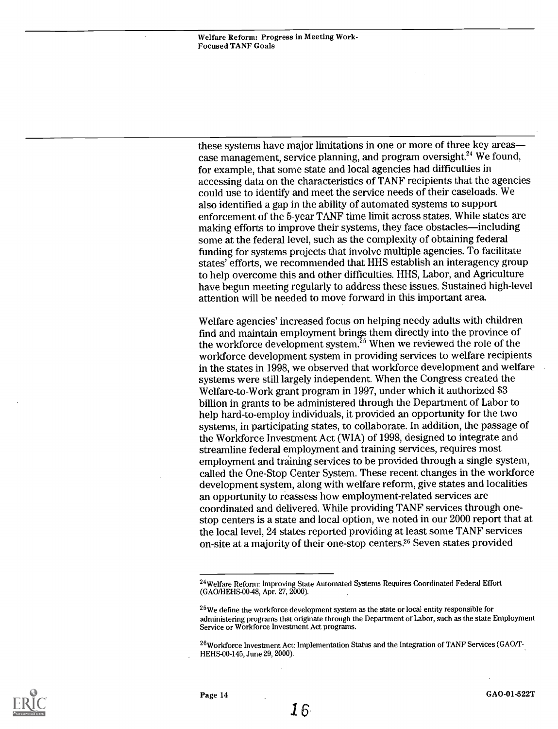these systems have major limitations in one or more of three key areas case management, service planning, and program oversight.<sup>24</sup> We found, for example, that some state and local agencies had difficulties in accessing data on the characteristics of TANF recipients that the agencies could use to identify and meet the service needs of their caseloads. We also identified a gap in the ability of automated systems to support enforcement of the 5-year TANF time limit across states. While states are making efforts to improve their systems, they face obstacles—including some at the federal level, such as the complexity of obtaining federal funding for systems projects that involve multiple agencies. To facilitate states' efforts, we recommended that HHS establish an interagency group to help overcome this and other difficulties. HHS, Labor, and Agriculture have begun meeting regularly to address these issues. Sustained high-level attention will be needed to move forward in this important area.

Welfare agencies' increased focus on helping needy adults with children find and maintain employment brings them directly into the province of the workforce development system. $^{25}$  When we reviewed the role of the workforce development system in providing services to welfare recipients in the states in 1998, we observed that workforce development and welfare systems were still largely independent. When the Congress created the Welfare-to-Work grant program in 1997, under which it authorized \$3 billion in grants to be administered through the Department of Labor to help hard-to-employ individuals, it provided an opportunity for the two systems, in participating states, to collaborate. In addition, the passage of the Workforce Investment Act (WIA) of 1998, designed to integrate and streamline federal employment and training services, requires most employment and training services to be provided through a single system, called the One-Stop Center System. These recent changes in the workforce development system, along with welfare reform, give states and localities an opportunity to reassess how employment-related services are coordinated and delivered. While providing TANF services through onestop centers is a state and local option, we noted in our 2000 report that at the local level, 24 states reported providing at least some TANF services on-site at a majority of their one-stop centers.26 Seven states provided



<sup>24</sup>Welfare Reform: Improving State Automated Systems Requires Coordinated Federal Effort (GAO/HEHS-00-48, Apr. 27, 2000).

<sup>25</sup>We define the workforce development system as the state or local entity responsible for administering programs that originate through the Department of Labor, such as the state Employment Service or Workforce Investment Act programs.

 $^{26}$ Workforce Investment Act: Inplementation Status and the Integration of TANF Services (GAO/T- $\overline{a}$ HEHS-00-145, June 29, 2000).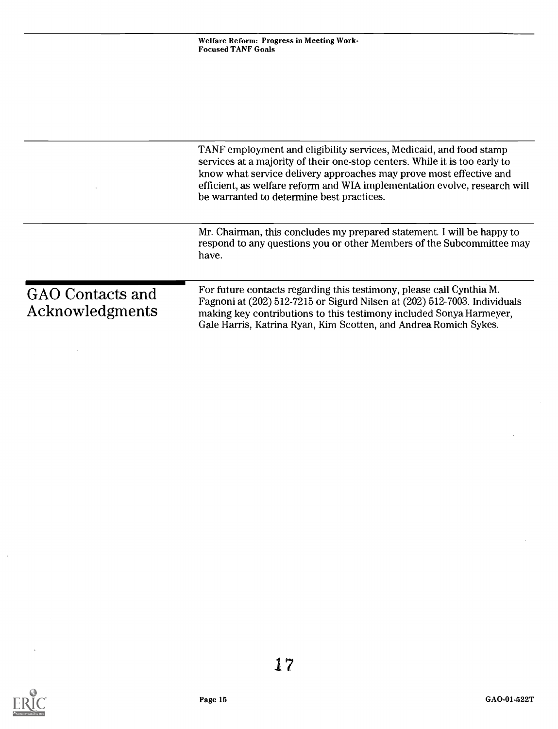|                                     | TANF employment and eligibility services, Medicaid, and food stamp<br>services at a majority of their one-stop centers. While it is too early to<br>know what service delivery approaches may prove most effective and<br>efficient, as welfare reform and WIA implementation evolve, research will<br>be warranted to determine best practices. |
|-------------------------------------|--------------------------------------------------------------------------------------------------------------------------------------------------------------------------------------------------------------------------------------------------------------------------------------------------------------------------------------------------|
|                                     | Mr. Chairman, this concludes my prepared statement. I will be happy to<br>respond to any questions you or other Members of the Subcommittee may<br>have.                                                                                                                                                                                         |
| GAO Contacts and<br>Acknowledgments | For future contacts regarding this testimony, please call Cynthia M.<br>Fagnoni at (202) 512-7215 or Sigurd Nilsen at (202) 512-7003. Individuals<br>making key contributions to this testimony included Sonya Harmeyer,<br>Gale Harris, Katrina Ryan, Kim Scotten, and Andrea Romich Sykes.                                                     |



 $\ddot{\phantom{a}}$ 

 $\hat{\boldsymbol{\beta}}$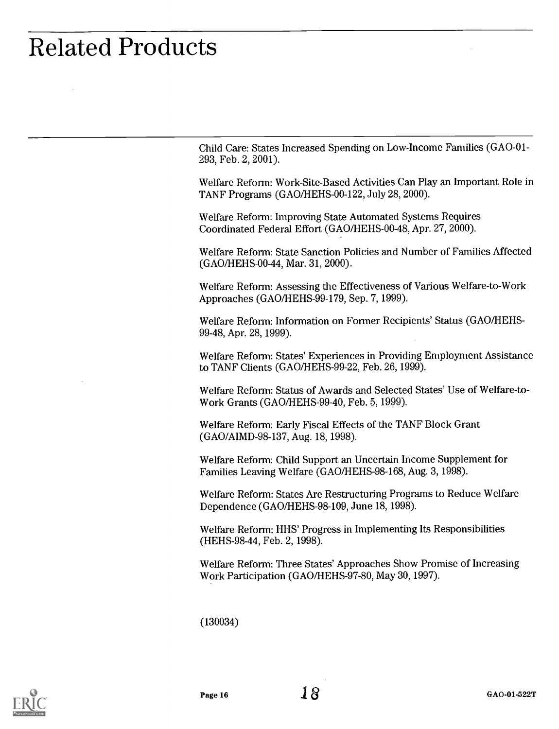# Related Products

Child Care: States Increased Spending on Low-Income Families (GAO -01- 293, Feb. 2, 2001).

Welfare Reform: Work-Site-Based Activities Can Play an Important Role in TANF Programs (GAO/HEHS-00-122, July 28, 2000).

Welfare Reform: Improving State Automated Systems Requires Coordinated Federal Effort (GAO/HEHS-00-48, Apr. 27, 2000).

Welfare Reform: State Sanction Policies and Number of Families Affected (GAO/HEHS-00-44, Mar. 31, 2000).

Welfare Reform: Assessing the Effectiveness of Various Welfare-to-Work Approaches (GAO/HEHS-99-179, Sep. 7, 1999).

Welfare Reform: Information on Former Recipients' Status (GAO/HEHS-99-48, Apr. 28, 1999).

Welfare Reform: States' Experiences in Providing Employment Assistance to TANF Clients (GAO/HEHS-99-22, Feb. 26, 1999).

Welfare Reform: Status of Awards and Selected States' Use of Welfare-to-Work Grants (GAO/HEHS-99-40, Feb. 5, 1999).

Welfare Reform: Early Fiscal Effects of the TANF Block Grant (GAO/AIMD-98-137, Aug. 18, 1998).

Welfare Reform: Child Support an Uncertain Income Supplement for Families Leaving Welfare (GAO/HEHS-98-168, Aug. 3, 1998).

Welfare Reform: States Are Restructuring Programs to Reduce Welfare Dependence (GAO/HEHS-98-109, June 18, 1998).

Welfare Reform: HHS' Progress in Implementing Its Responsibilities (HEHS-98-44, Feb. 2, 1998).

Welfare Reform: Three States' Approaches Show Promise of Increasing Work Participation (GAO/HEHS-97-80, May 30, 1997).

(130034)

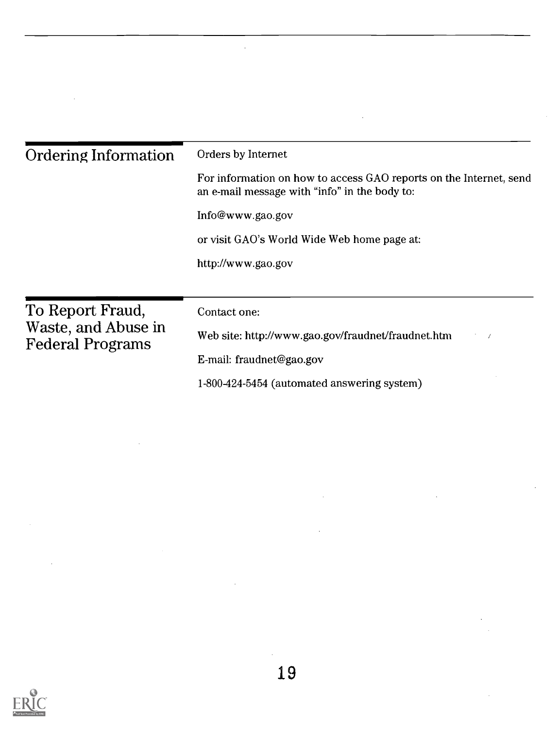| <b>Ordering Information</b>                    | Orders by Internet<br>For information on how to access GAO reports on the Internet, send<br>an e-mail message with "info" in the body to:<br>Info@www.gao.gov |  |  |
|------------------------------------------------|---------------------------------------------------------------------------------------------------------------------------------------------------------------|--|--|
|                                                |                                                                                                                                                               |  |  |
|                                                |                                                                                                                                                               |  |  |
|                                                | or visit GAO's World Wide Web home page at:<br>http://www.gao.gov                                                                                             |  |  |
|                                                |                                                                                                                                                               |  |  |
|                                                |                                                                                                                                                               |  |  |
| To Report Fraud,                               | Contact one:                                                                                                                                                  |  |  |
| Waste, and Abuse in<br><b>Federal Programs</b> | Web site: http://www.gao.gov/fraudnet/fraudnet.htm<br>$\mathcal{I}=\mathcal{I}$                                                                               |  |  |
|                                                | E-mail: fraudnet@gao.gov                                                                                                                                      |  |  |
|                                                | 1-800-424-5454 (automated answering system)                                                                                                                   |  |  |

 $\hat{\mathcal{L}}$